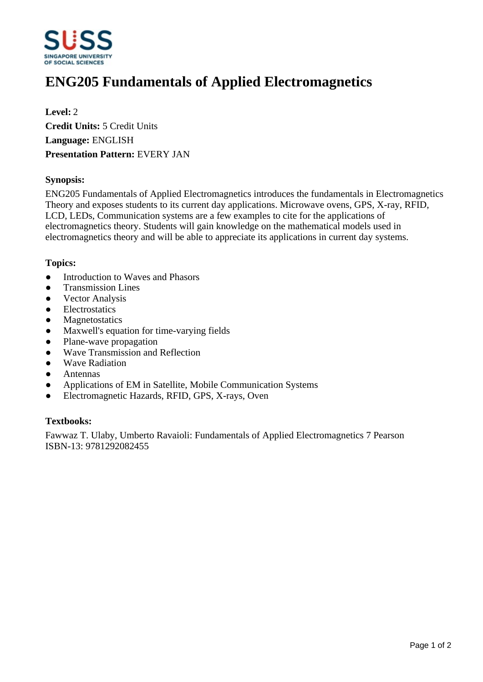

# **ENG205 Fundamentals of Applied Electromagnetics**

**Level:** 2 **Credit Units:** 5 Credit Units **Language:** ENGLISH **Presentation Pattern:** EVERY JAN

#### **Synopsis:**

ENG205 Fundamentals of Applied Electromagnetics introduces the fundamentals in Electromagnetics Theory and exposes students to its current day applications. Microwave ovens, GPS, X-ray, RFID, LCD, LEDs, Communication systems are a few examples to cite for the applications of electromagnetics theory. Students will gain knowledge on the mathematical models used in electromagnetics theory and will be able to appreciate its applications in current day systems.

#### **Topics:**

- Introduction to Waves and Phasors
- Transmission Lines
- Vector Analysis
- Electrostatics
- ƔMagnetostatics
- Maxwell's equation for time-varying fields
- Plane-wave propagation
- Wave Transmission and Reflection
- Wave Radiation
- **Antennas**
- Applications of EM in Satellite, Mobile Communication Systems
- ƔElectromagnetic Hazards, RFID, GPS, X-rays, Oven

#### **Textbooks:**

Fawwaz T. Ulaby, Umberto Ravaioli: Fundamentals of Applied Electromagnetics 7 Pearson ISBN-13: 9781292082455